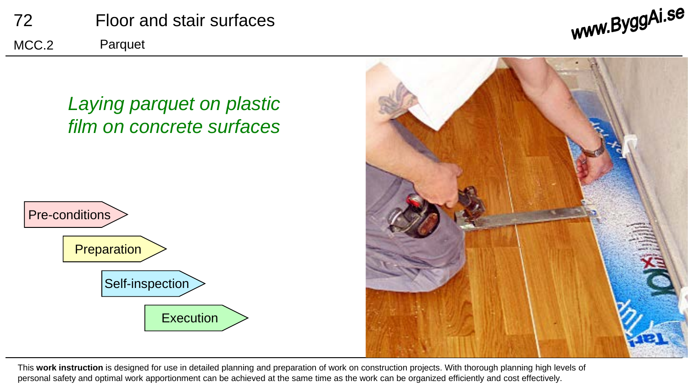





This **work instruction** is designed for use in detailed planning and preparation of work on construction projects. With thorough planning high levels of personal safety and optimal work apportionment can be achieved at the same time as the work can be organized efficiently and cost effectively.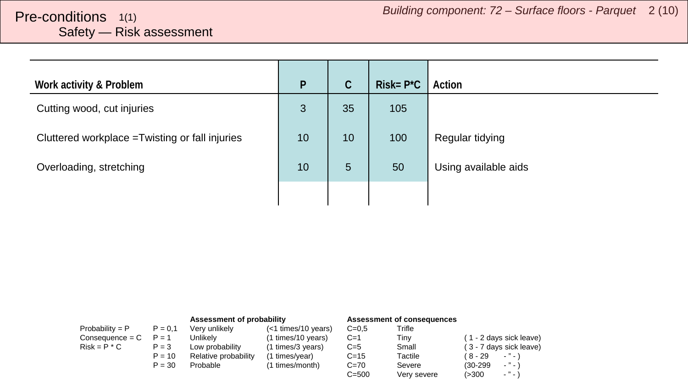<span id="page-1-0"></span>

| Work activity & Problem                         | P  | $\mathsf C$ | $Risk = P^*C$ | Action               |
|-------------------------------------------------|----|-------------|---------------|----------------------|
|                                                 |    |             |               |                      |
| Cutting wood, cut injuries                      | 3  | 35          | 105           |                      |
| Cluttered workplace = Twisting or fall injuries | 10 | 10          | 100           | Regular tidying      |
| Overloading, stretching                         | 10 | 5           | 50            | Using available aids |
|                                                 |    |             |               |                      |

|                   |           | Assessment of probability |                     | <b>Assessment of consequences</b> |             |                                |
|-------------------|-----------|---------------------------|---------------------|-----------------------------------|-------------|--------------------------------|
| Probability = $P$ | $P = 0.1$ | Very unlikely             | (<1 times/10 years) | $C = 0.5$                         | Trifle      |                                |
| $Consequence = C$ | $P = 1$   | Unlikelv                  | (1 times/10 years)  | $C=1$                             | Tinv        | (1 - 2 days sick leave)        |
| $Risk = P * C$    | $P = 3$   | Low probability           | (1 times/3 years)   | $C=5$                             | Small       | (3 - 7 days sick leave)        |
|                   | $P = 10$  | Relative probability      | (1 times/year)      | $C = 15$                          | Tactile     | (8 - 29<br>$\cdot$ " $\cdot$ ) |
|                   | $P = 30$  | Probable                  | (1 times/month)     | $C = 70$                          | Severe      | $ "$ $ \lambda$<br>$(30-299)$  |
|                   |           |                           |                     | $C = 500$                         | Very severe | $ "$ $ )$<br>(>300             |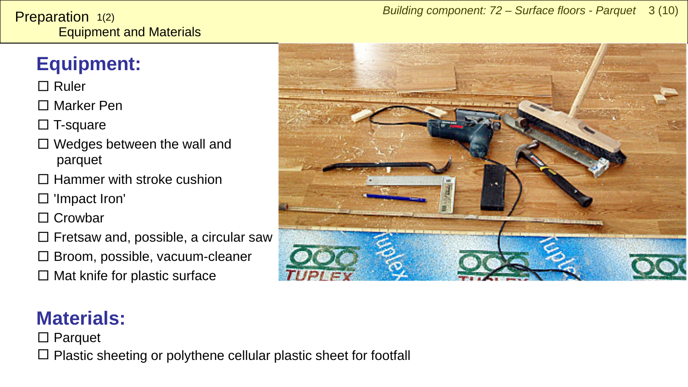#### <span id="page-2-0"></span>Equipment and Materials **Preparation**  $1(2)$

# **Equipment:**

□ Ruler

□ Marker Pen

□ T-square

- $\square$  Wedges between the wall and parquet
- $\square$  Hammer with stroke cushion
- □ 'Impact Iron'

□ Crowbar

- $\square$  Fretsaw and, possible, a circular saw
- □ Broom, possible, vacuum-cleaner
- $\square$  Mat knife for plastic surface



## **Materials:**

□ Parquet

 $\square$  Plastic sheeting or polythene cellular plastic sheet for footfall

#### *Building component: 72 – Surface floors - Parquet* 3 (10)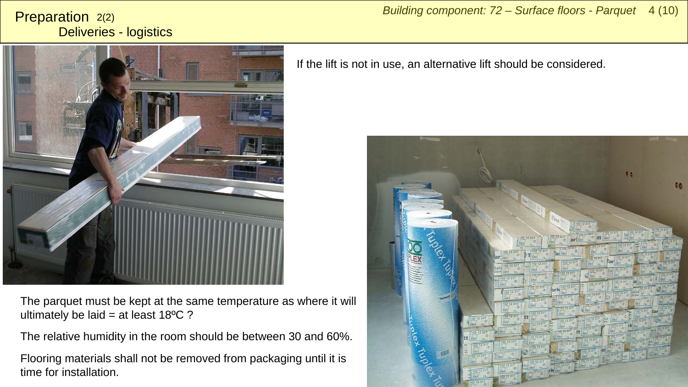#### Deliveries - logistics Preparation 2(2)



The parquet must be kept at the same temperature as where it will ultimately be laid = at least  $18^{\circ}$ C ?

The relative humidity in the room should be between 30 and 60%.

Flooring materials shall not be removed from packaging until it is time for installation.

If the lift is not in use, an alternative lift should be considered.

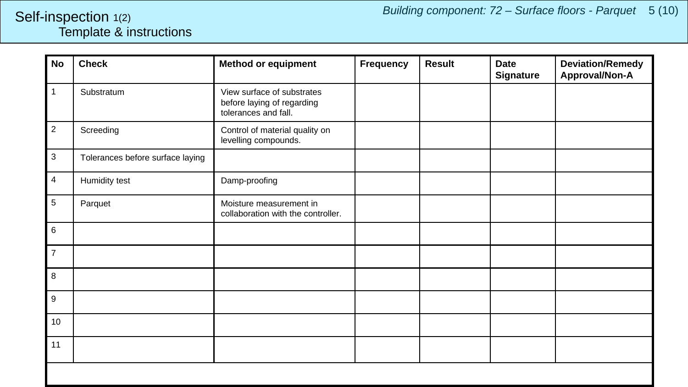#### <span id="page-4-0"></span>Template & instructions Self-inspection 1(2)

| <b>No</b>        | <b>Check</b>                     | <b>Method or equipment</b>                                                       | <b>Frequency</b> | <b>Result</b> | <b>Date</b><br><b>Signature</b> | <b>Deviation/Remedy</b><br>Approval/Non-A |
|------------------|----------------------------------|----------------------------------------------------------------------------------|------------------|---------------|---------------------------------|-------------------------------------------|
| 1                | Substratum                       | View surface of substrates<br>before laying of regarding<br>tolerances and fall. |                  |               |                                 |                                           |
| $\overline{2}$   | Screeding                        | Control of material quality on<br>levelling compounds.                           |                  |               |                                 |                                           |
| $\sqrt{3}$       | Tolerances before surface laying |                                                                                  |                  |               |                                 |                                           |
| 4                | Humidity test                    | Damp-proofing                                                                    |                  |               |                                 |                                           |
| 5                | Parquet                          | Moisture measurement in<br>collaboration with the controller.                    |                  |               |                                 |                                           |
| $\,6\,$          |                                  |                                                                                  |                  |               |                                 |                                           |
| $\overline{7}$   |                                  |                                                                                  |                  |               |                                 |                                           |
| 8                |                                  |                                                                                  |                  |               |                                 |                                           |
| $\boldsymbol{9}$ |                                  |                                                                                  |                  |               |                                 |                                           |
| 10               |                                  |                                                                                  |                  |               |                                 |                                           |
| 11               |                                  |                                                                                  |                  |               |                                 |                                           |
|                  |                                  |                                                                                  |                  |               |                                 |                                           |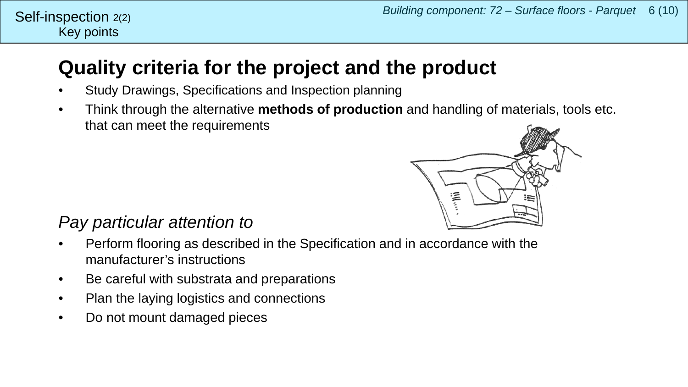#### Key points Self-inspection  $2(2)$

# **Quality criteria for the project and the product**

- Study Drawings, Specifications and Inspection planning
- Think through the alternative **methods of production** and handling of materials, tools etc. that can meet the requirements



## *Pay particular attention to*

- Perform flooring as described in the Specification and in accordance with the manufacturer's instructions
- Be careful with substrata and preparations
- Plan the laying logistics and connections
- Do not mount damaged pieces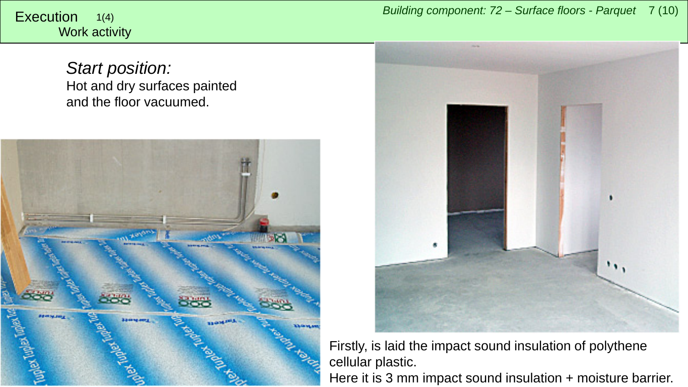Work activity 1(4)

> *Start position:* Hot and dry surfaces painted and the floor vacuumed.



<span id="page-6-0"></span>*Building component: 72 – Surface floors - Parquet* <sup>7</sup> (10) Execution



Firstly, is laid the impact sound insulation of polythene cellular plastic.

Here it is 3 mm impact sound insulation + moisture barrier.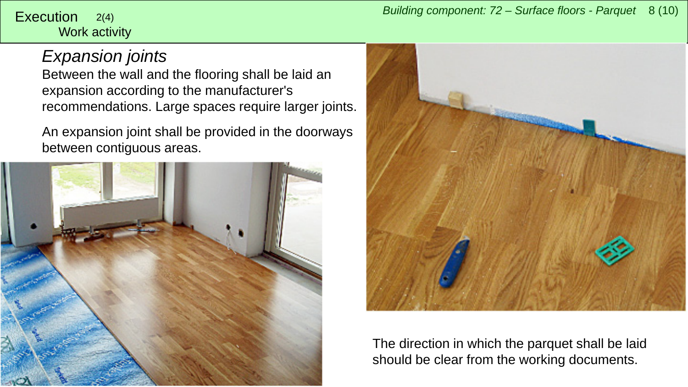Work activity

## *Expansion joints*

Between the wall and the flooring shall be laid an expansion according to the manufacturer's recommendations. Large spaces require larger joints.

An expansion joint shall be provided in the doorways between contiguous areas.





The direction in which the parquet shall be laid should be clear from the working documents.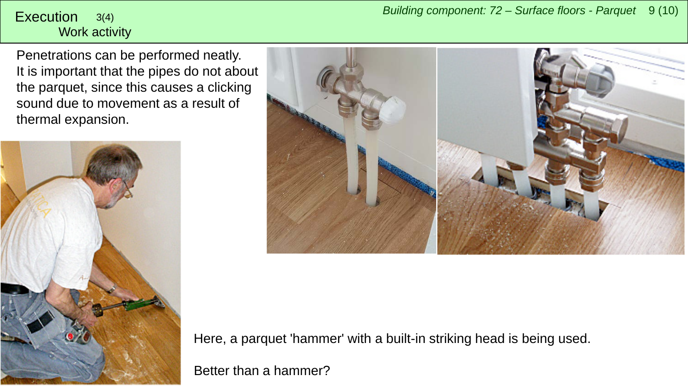# Work activity

Penetrations can be performed neatly. It is important that the pipes do not about the parquet, since this causes a clicking sound due to movement as a result of thermal expansion.





Here, a parquet 'hammer' with a built-in striking head is being used.

Better than a hammer?